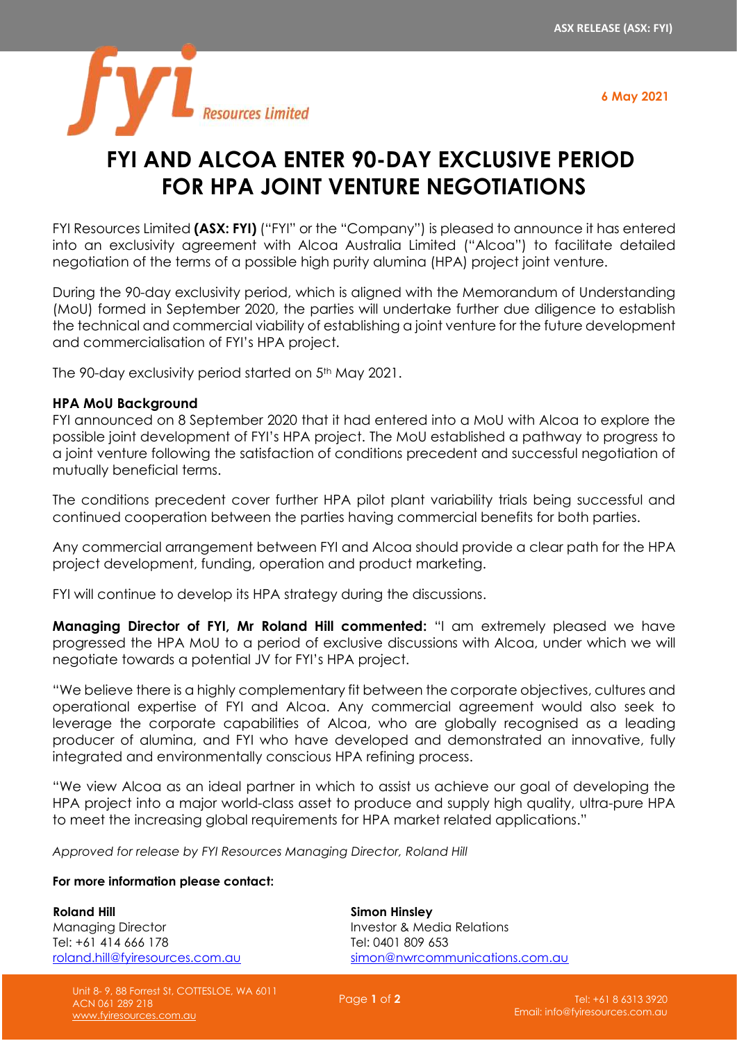**6 May 2021**



## **FYI AND ALCOA ENTER 90-DAY EXCLUSIVE PERIOD FOR HPA JOINT VENTURE NEGOTIATIONS**

FYI Resources Limited **(ASX: FYI)** ("FYI" or the "Company") is pleased to announce it has entered into an exclusivity agreement with Alcoa Australia Limited ("Alcoa") to facilitate detailed negotiation of the terms of a possible high purity alumina (HPA) project joint venture.

During the 90-day exclusivity period, which is aligned with the Memorandum of Understanding (MoU) formed in September 2020, the parties will undertake further due diligence to establish the technical and commercial viability of establishing a joint venture for the future development and commercialisation of FYI's HPA project.

The 90-day exclusivity period started on 5<sup>th</sup> May 2021.

## **HPA MoU Background**

FYI announced on 8 September 2020 that it had entered into a MoU with Alcoa to explore the possible joint development of FYI's HPA project. The MoU established a pathway to progress to a joint venture following the satisfaction of conditions precedent and successful negotiation of mutually beneficial terms.

The conditions precedent cover further HPA pilot plant variability trials being successful and continued cooperation between the parties having commercial benefits for both parties.

Any commercial arrangement between FYI and Alcoa should provide a clear path for the HPA project development, funding, operation and product marketing.

FYI will continue to develop its HPA strategy during the discussions.

**Managing Director of FYI, Mr Roland Hill commented:** "I am extremely pleased we have progressed the HPA MoU to a period of exclusive discussions with Alcoa, under which we will negotiate towards a potential JV for FYI's HPA project.

"We believe there is a highly complementary fit between the corporate objectives, cultures and operational expertise of FYI and Alcoa. Any commercial agreement would also seek to leverage the corporate capabilities of Alcoa, who are globally recognised as a leading producer of alumina, and FYI who have developed and demonstrated an innovative, fully integrated and environmentally conscious HPA refining process.

"We view Alcoa as an ideal partner in which to assist us achieve our goal of developing the HPA project into a major world-class asset to produce and supply high quality, ultra-pure HPA to meet the increasing global requirements for HPA market related applications."

*Approved for release by FYI Resources Managing Director, Roland Hill*

## **For more information please contact:**

**Roland Hill** Managing Director Tel: +61 414 666 178 [roland.hill@fyiresources.com.au](mailto:roland.hill@fyiresources.com.au)

> Unit 8- 9, 88 Forrest St, COTTESLOE, WA 6011 ACN 061 289 218 [www.fyiresources.com.au](http://www.fyiresources.com.au/)

**Simon Hinsley** Investor & Media Relations Tel: 0401 809 653 [simon@nwrcommunications.com.au](mailto:simon@nwrcommunications.com.au)